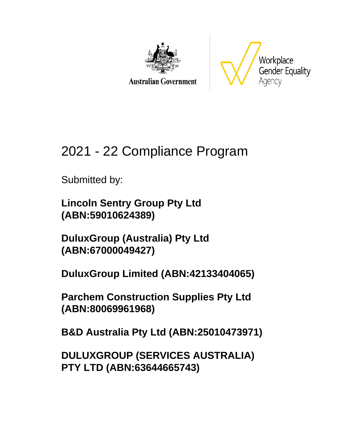

**Australian Government** 



# 2021 - 22 Compliance Program

Submitted by:

**Lincoln Sentry Group Pty Ltd (ABN:59010624389)**

**DuluxGroup (Australia) Pty Ltd (ABN:67000049427)**

**DuluxGroup Limited (ABN:42133404065)**

**Parchem Construction Supplies Pty Ltd (ABN:80069961968)**

**B&D Australia Pty Ltd (ABN:25010473971)**

**DULUXGROUP (SERVICES AUSTRALIA) PTY LTD (ABN:63644665743)**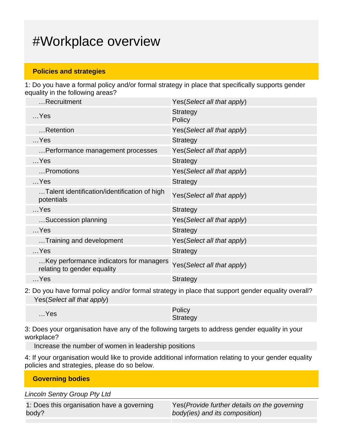# #Workplace overview

#### **Policies and strategies**

1: Do you have a formal policy and/or formal strategy in place that specifically supports gender equality in the following areas?

| Recruitment                                                            | Yes (Select all that apply) |
|------------------------------------------------------------------------|-----------------------------|
| $$ Yes                                                                 | <b>Strategy</b><br>Policy   |
| Retention                                                              | Yes (Select all that apply) |
| $$ Yes                                                                 | <b>Strategy</b>             |
| Performance management processes                                       | Yes (Select all that apply) |
| $$ Yes                                                                 | <b>Strategy</b>             |
| Promotions                                                             | Yes(Select all that apply)  |
| $$ Yes                                                                 | <b>Strategy</b>             |
| Talent identification/identification of high<br>potentials             | Yes(Select all that apply)  |
| $$ Yes                                                                 | <b>Strategy</b>             |
| Succession planning                                                    | Yes (Select all that apply) |
| $$ Yes                                                                 | Strategy                    |
| Training and development                                               | Yes (Select all that apply) |
| $$ Yes                                                                 | <b>Strategy</b>             |
| Key performance indicators for managers<br>relating to gender equality | Yes(Select all that apply)  |
| $$ Yes                                                                 | <b>Strategy</b>             |

2: Do you have formal policy and/or formal strategy in place that support gender equality overall? Yes(Select all that apply)

| $$ Yes | Policy   |
|--------|----------|
|        | Strategy |

3: Does your organisation have any of the following targets to address gender equality in your workplace?

Increase the number of women in leadership positions

4: If your organisation would like to provide additional information relating to your gender equality policies and strategies, please do so below.

**Governing bodies**

Lincoln Sentry Group Pty Ltd

|       | 1: Does this organisation have a governing |  |
|-------|--------------------------------------------|--|
| body? |                                            |  |

Yes(Provide further details on the governing body(ies) and its composition)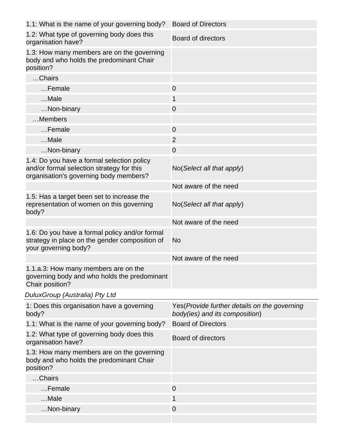| 1.1: What is the name of your governing body?                                                                                     | <b>Board of Directors</b>                                                       |
|-----------------------------------------------------------------------------------------------------------------------------------|---------------------------------------------------------------------------------|
| 1.2: What type of governing body does this<br>organisation have?                                                                  | Board of directors                                                              |
| 1.3: How many members are on the governing<br>body and who holds the predominant Chair<br>position?                               |                                                                                 |
| Chairs                                                                                                                            |                                                                                 |
| Female                                                                                                                            | $\overline{0}$                                                                  |
| Male                                                                                                                              | 1                                                                               |
| Non-binary                                                                                                                        | $\overline{0}$                                                                  |
| Members                                                                                                                           |                                                                                 |
| Female                                                                                                                            | $\overline{0}$                                                                  |
| Male                                                                                                                              | $\overline{2}$                                                                  |
| Non-binary                                                                                                                        | $\mathbf 0$                                                                     |
| 1.4: Do you have a formal selection policy<br>and/or formal selection strategy for this<br>organisation's governing body members? | No(Select all that apply)                                                       |
|                                                                                                                                   | Not aware of the need                                                           |
| 1.5: Has a target been set to increase the<br>representation of women on this governing<br>body?                                  | No(Select all that apply)                                                       |
|                                                                                                                                   | Not aware of the need                                                           |
| 1.6: Do you have a formal policy and/or formal<br>strategy in place on the gender composition of<br>your governing body?          | No                                                                              |
|                                                                                                                                   | Not aware of the need                                                           |
| 1.1.a.3: How many members are on the<br>governing body and who holds the predominant<br>Chair position?                           |                                                                                 |
| DuluxGroup (Australia) Pty Ltd                                                                                                    |                                                                                 |
| 1: Does this organisation have a governing<br>body?                                                                               | Yes (Provide further details on the governing<br>body(ies) and its composition) |
| 1.1: What is the name of your governing body?                                                                                     | <b>Board of Directors</b>                                                       |
| 1.2: What type of governing body does this<br>organisation have?                                                                  | Board of directors                                                              |
| 1.3: How many members are on the governing<br>body and who holds the predominant Chair<br>position?                               |                                                                                 |
| Chairs                                                                                                                            |                                                                                 |
| Female                                                                                                                            | $\mathbf 0$                                                                     |
| Male                                                                                                                              | 1                                                                               |
| Non-binary                                                                                                                        | $\mathbf 0$                                                                     |
|                                                                                                                                   |                                                                                 |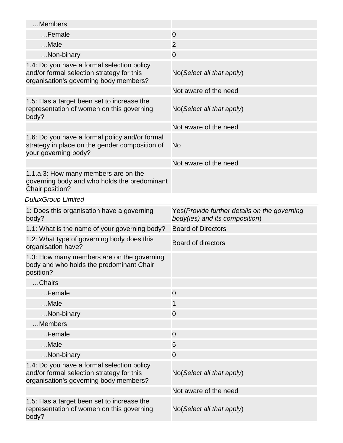| Members                                                                                                                           |                                                                                 |
|-----------------------------------------------------------------------------------------------------------------------------------|---------------------------------------------------------------------------------|
| Female                                                                                                                            | $\overline{0}$                                                                  |
| Male                                                                                                                              | $\overline{2}$                                                                  |
| Non-binary                                                                                                                        | $\overline{0}$                                                                  |
| 1.4: Do you have a formal selection policy<br>and/or formal selection strategy for this<br>organisation's governing body members? | No(Select all that apply)                                                       |
|                                                                                                                                   | Not aware of the need                                                           |
| 1.5: Has a target been set to increase the<br>representation of women on this governing<br>body?                                  | No(Select all that apply)                                                       |
|                                                                                                                                   | Not aware of the need                                                           |
| 1.6: Do you have a formal policy and/or formal<br>strategy in place on the gender composition of<br>your governing body?          | No                                                                              |
|                                                                                                                                   | Not aware of the need                                                           |
| 1.1.a.3: How many members are on the<br>governing body and who holds the predominant<br>Chair position?                           |                                                                                 |
| <b>DuluxGroup Limited</b>                                                                                                         |                                                                                 |
| 1: Does this organisation have a governing<br>body?                                                                               | Yes (Provide further details on the governing<br>body(ies) and its composition) |
|                                                                                                                                   |                                                                                 |
| 1.1: What is the name of your governing body?                                                                                     | <b>Board of Directors</b>                                                       |
| 1.2: What type of governing body does this<br>organisation have?                                                                  | <b>Board of directors</b>                                                       |
| 1.3: How many members are on the governing<br>body and who holds the predominant Chair<br>position?                               |                                                                                 |
| Chairs                                                                                                                            |                                                                                 |
| Female                                                                                                                            | $\overline{0}$                                                                  |
| Male                                                                                                                              | 1                                                                               |
| Non-binary                                                                                                                        | $\overline{0}$                                                                  |
| Members                                                                                                                           |                                                                                 |
| Female                                                                                                                            | $\overline{0}$                                                                  |
| Male                                                                                                                              | 5                                                                               |
| Non-binary                                                                                                                        | $\mathbf 0$                                                                     |
| 1.4: Do you have a formal selection policy<br>and/or formal selection strategy for this<br>organisation's governing body members? | No(Select all that apply)                                                       |
|                                                                                                                                   | Not aware of the need                                                           |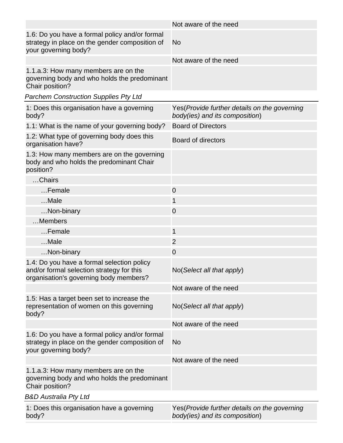|                                                                                                                                   | Not aware of the need                                                           |
|-----------------------------------------------------------------------------------------------------------------------------------|---------------------------------------------------------------------------------|
| 1.6: Do you have a formal policy and/or formal<br>strategy in place on the gender composition of<br>your governing body?          | <b>No</b>                                                                       |
|                                                                                                                                   | Not aware of the need                                                           |
| 1.1.a.3: How many members are on the<br>governing body and who holds the predominant<br>Chair position?                           |                                                                                 |
| <b>Parchem Construction Supplies Pty Ltd</b>                                                                                      |                                                                                 |
| 1: Does this organisation have a governing<br>body?                                                                               | Yes (Provide further details on the governing<br>body(ies) and its composition) |
| 1.1: What is the name of your governing body?                                                                                     | <b>Board of Directors</b>                                                       |
| 1.2: What type of governing body does this<br>organisation have?                                                                  | <b>Board of directors</b>                                                       |
| 1.3: How many members are on the governing<br>body and who holds the predominant Chair<br>position?                               |                                                                                 |
| Chairs                                                                                                                            |                                                                                 |
| Female                                                                                                                            | $\overline{0}$                                                                  |
| Male                                                                                                                              | 1                                                                               |
| Non-binary                                                                                                                        | $\overline{0}$                                                                  |
| Members                                                                                                                           |                                                                                 |
| Female                                                                                                                            | 1                                                                               |
| Male                                                                                                                              | $\overline{2}$                                                                  |
| Non-binary                                                                                                                        | $\mathbf 0$                                                                     |
| 1.4: Do you have a formal selection policy<br>and/or formal selection strategy for this<br>organisation's governing body members? | No(Select all that apply)                                                       |
|                                                                                                                                   | Not aware of the need                                                           |
| 1.5: Has a target been set to increase the<br>representation of women on this governing<br>body?                                  | No(Select all that apply)                                                       |
|                                                                                                                                   | Not aware of the need                                                           |
| 1.6: Do you have a formal policy and/or formal<br>strategy in place on the gender composition of<br>your governing body?          | No                                                                              |
|                                                                                                                                   | Not aware of the need                                                           |
| 1.1.a.3: How many members are on the<br>governing body and who holds the predominant<br>Chair position?                           |                                                                                 |
| B&D Australia Pty Ltd                                                                                                             |                                                                                 |
| 1: Does this organisation have a governing<br>body?                                                                               | Yes (Provide further details on the governing<br>body(ies) and its composition) |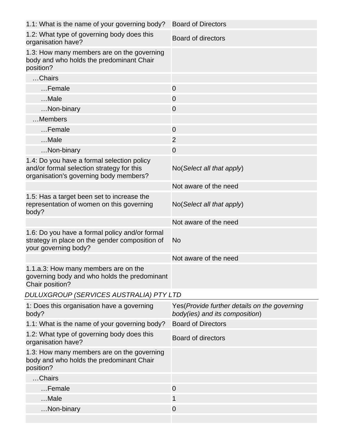| 1.1: What is the name of your governing body?                                                                                     | <b>Board of Directors</b>                                                      |
|-----------------------------------------------------------------------------------------------------------------------------------|--------------------------------------------------------------------------------|
| 1.2: What type of governing body does this<br>organisation have?                                                                  | Board of directors                                                             |
| 1.3: How many members are on the governing<br>body and who holds the predominant Chair<br>position?                               |                                                                                |
| Chairs                                                                                                                            |                                                                                |
| Female                                                                                                                            | $\overline{0}$                                                                 |
| Male                                                                                                                              | $\overline{0}$                                                                 |
| Non-binary                                                                                                                        | $\overline{0}$                                                                 |
| Members                                                                                                                           |                                                                                |
| Female                                                                                                                            | $\overline{0}$                                                                 |
| Male                                                                                                                              | $\overline{2}$                                                                 |
| Non-binary                                                                                                                        | $\overline{0}$                                                                 |
| 1.4: Do you have a formal selection policy<br>and/or formal selection strategy for this<br>organisation's governing body members? | No(Select all that apply)                                                      |
|                                                                                                                                   | Not aware of the need                                                          |
| 1.5: Has a target been set to increase the<br>representation of women on this governing<br>body?                                  | No(Select all that apply)                                                      |
|                                                                                                                                   | Not aware of the need                                                          |
| 1.6: Do you have a formal policy and/or formal<br>strategy in place on the gender composition of<br>your governing body?          | No                                                                             |
|                                                                                                                                   | Not aware of the need                                                          |
| 1.1.a.3: How many members are on the<br>governing body and who holds the predominant<br>Chair position?                           |                                                                                |
| DULUXGROUP (SERVICES AUSTRALIA) PTY LTD                                                                                           |                                                                                |
| 1: Does this organisation have a governing<br>body?                                                                               | Yes(Provide further details on the governing<br>body(ies) and its composition) |
| 1.1: What is the name of your governing body?                                                                                     | <b>Board of Directors</b>                                                      |
| 1.2: What type of governing body does this<br>organisation have?                                                                  | Board of directors                                                             |
| 1.3: How many members are on the governing<br>body and who holds the predominant Chair<br>position?                               |                                                                                |
| Chairs                                                                                                                            |                                                                                |
| Female                                                                                                                            | $\mathbf 0$                                                                    |
| Male                                                                                                                              | 1                                                                              |
| Non-binary                                                                                                                        | $\mathbf 0$                                                                    |
|                                                                                                                                   |                                                                                |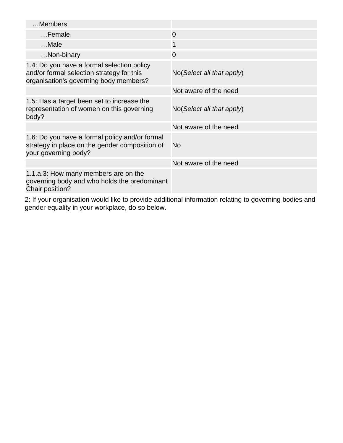| Members                                                                                                                           |                                      |
|-----------------------------------------------------------------------------------------------------------------------------------|--------------------------------------|
| Female                                                                                                                            | $\overline{0}$                       |
| $$ Male                                                                                                                           | 1                                    |
| Non-binary                                                                                                                        | $\Omega$                             |
| 1.4: Do you have a formal selection policy<br>and/or formal selection strategy for this<br>organisation's governing body members? | $No(Select \textit{all} that apply)$ |
|                                                                                                                                   | Not aware of the need                |
| 1.5: Has a target been set to increase the<br>representation of women on this governing<br>body?                                  | $No(Select \textit{all} that apply)$ |
|                                                                                                                                   | Not aware of the need                |
| 1.6: Do you have a formal policy and/or formal<br>strategy in place on the gender composition of<br>your governing body?          | No                                   |
|                                                                                                                                   | Not aware of the need                |
| 1.1.a.3: How many members are on the<br>governing body and who holds the predominant<br>Chair position?                           |                                      |

2: If your organisation would like to provide additional information relating to governing bodies and gender equality in your workplace, do so below.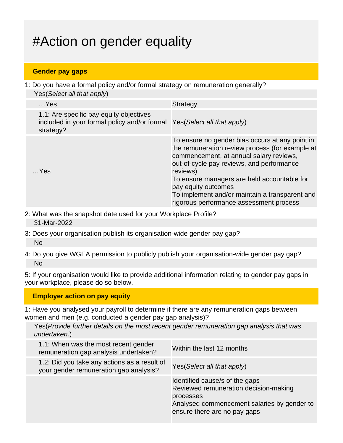# #Action on gender equality

### **Gender pay gaps**

1: Do you have a formal policy and/or formal strategy on remuneration generally? Yes(Select all that apply)

| $$ Yes                                                                                                                           | Strategy                                                                                                                                                                                                                                                                                                                                                                  |
|----------------------------------------------------------------------------------------------------------------------------------|---------------------------------------------------------------------------------------------------------------------------------------------------------------------------------------------------------------------------------------------------------------------------------------------------------------------------------------------------------------------------|
| 1.1: Are specific pay equity objectives<br>included in your formal policy and/or formal Yes (Select all that apply)<br>strategy? |                                                                                                                                                                                                                                                                                                                                                                           |
| $$ Yes                                                                                                                           | To ensure no gender bias occurs at any point in<br>the remuneration review process (for example at<br>commencement, at annual salary reviews,<br>out-of-cycle pay reviews, and performance<br>reviews)<br>To ensure managers are held accountable for<br>pay equity outcomes<br>To implement and/or maintain a transparent and<br>rigorous performance assessment process |

- 2: What was the snapshot date used for your Workplace Profile? 31-Mar-2022
- 3: Does your organisation publish its organisation-wide gender pay gap? No
- 4: Do you give WGEA permission to publicly publish your organisation-wide gender pay gap? No

5: If your organisation would like to provide additional information relating to gender pay gaps in your workplace, please do so below.

**Employer action on pay equity**

1: Have you analysed your payroll to determine if there are any remuneration gaps between women and men (e.g. conducted a gender pay gap analysis)?

Yes(Provide further details on the most recent gender remuneration gap analysis that was undertaken.)

| 1.1: When was the most recent gender<br>remuneration gap analysis undertaken?          | Within the last 12 months                                                                                                                                           |
|----------------------------------------------------------------------------------------|---------------------------------------------------------------------------------------------------------------------------------------------------------------------|
| 1.2: Did you take any actions as a result of<br>your gender remuneration gap analysis? | Yes (Select all that apply)                                                                                                                                         |
|                                                                                        | Identified cause/s of the gaps<br>Reviewed remuneration decision-making<br>processes<br>Analysed commencement salaries by gender to<br>ensure there are no pay gaps |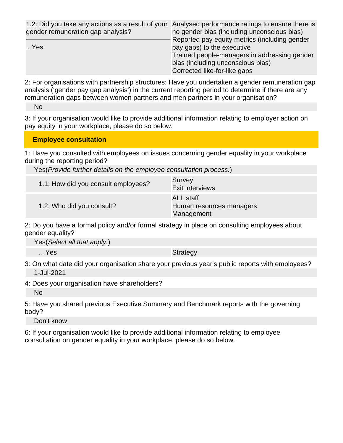| gender remuneration gap analysis? | 1.2: Did you take any actions as a result of your Analysed performance ratings to ensure there is<br>no gender bias (including unconscious bias) |
|-----------------------------------|--------------------------------------------------------------------------------------------------------------------------------------------------|
| Yes                               | Reported pay equity metrics (including gender<br>pay gaps) to the executive                                                                      |
|                                   | Trained people-managers in addressing gender                                                                                                     |
|                                   | bias (including unconscious bias)                                                                                                                |
|                                   | Corrected like-for-like gaps                                                                                                                     |

2: For organisations with partnership structures: Have you undertaken a gender remuneration gap analysis ('gender pay gap analysis') in the current reporting period to determine if there are any remuneration gaps between women partners and men partners in your organisation?

No

3: If your organisation would like to provide additional information relating to employer action on pay equity in your workplace, please do so below.

#### **Employee consultation**

1: Have you consulted with employees on issues concerning gender equality in your workplace during the reporting period?

Yes(Provide further details on the employee consultation process.)

| 1.1: How did you consult employees? | Survey<br><b>Exit interviews</b>                           |
|-------------------------------------|------------------------------------------------------------|
| 1.2: Who did you consult?           | <b>ALL</b> staff<br>Human resources managers<br>Management |

2: Do you have a formal policy and/or formal strategy in place on consulting employees about gender equality?

Yes(Select all that apply.)

...Yes Strategy

3: On what date did your organisation share your previous year's public reports with employees? 1-Jul-2021

4: Does your organisation have shareholders?

No

5: Have you shared previous Executive Summary and Benchmark reports with the governing body?

Don't know

6: If your organisation would like to provide additional information relating to employee consultation on gender equality in your workplace, please do so below.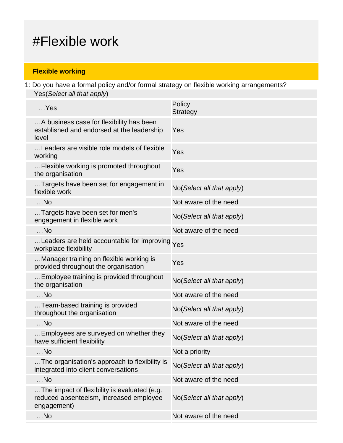# #Flexible work

# **Flexible working**

1: Do you have a formal policy and/or formal strategy on flexible working arrangements? Yes(Select all that apply)

| $$ Yes                                                                                                 | Policy<br><b>Strategy</b>  |
|--------------------------------------------------------------------------------------------------------|----------------------------|
| A business case for flexibility has been<br>established and endorsed at the leadership<br>level        | Yes                        |
| Leaders are visible role models of flexible<br>working                                                 | Yes                        |
| Flexible working is promoted throughout<br>the organisation                                            | Yes                        |
| Targets have been set for engagement in<br>flexible work                                               | No(Select all that apply)  |
| $$ No                                                                                                  | Not aware of the need      |
| Targets have been set for men's<br>engagement in flexible work                                         | No(Select all that apply)  |
| $$ No                                                                                                  | Not aware of the need      |
| Leaders are held accountable for improving Yes<br>workplace flexibility                                |                            |
| Manager training on flexible working is<br>provided throughout the organisation                        | Yes                        |
| Employee training is provided throughout<br>the organisation                                           | No(Select all that apply)  |
| $$ No                                                                                                  | Not aware of the need      |
| Team-based training is provided<br>throughout the organisation                                         | No(Select all that apply)  |
| $$ No                                                                                                  | Not aware of the need      |
| Employees are surveyed on whether they<br>have sufficient flexibility                                  | No (Select all that apply) |
| $$ No                                                                                                  | Not a priority             |
| The organisation's approach to flexibility is<br>integrated into client conversations                  | No(Select all that apply)  |
| $$ No                                                                                                  | Not aware of the need      |
| The impact of flexibility is evaluated (e.g.<br>reduced absenteeism, increased employee<br>engagement) | No(Select all that apply)  |
| $$ No                                                                                                  | Not aware of the need      |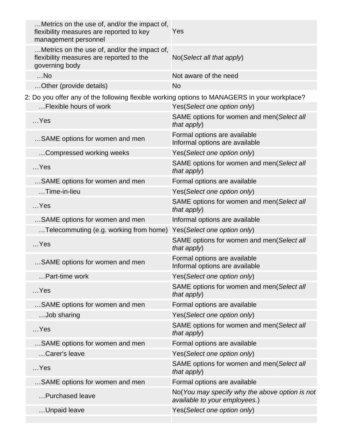| Metrics on the use of, and/or the impact of,<br>flexibility measures are reported to key<br>management personnel | Yes                                                                             |
|------------------------------------------------------------------------------------------------------------------|---------------------------------------------------------------------------------|
| Metrics on the use of, and/or the impact of,<br>flexibility measures are reported to the<br>governing body       | No(Select all that apply)                                                       |
| $$ No                                                                                                            | Not aware of the need                                                           |
| Other (provide details)                                                                                          | <b>No</b>                                                                       |
| 2: Do you offer any of the following flexible working options to MANAGERS in your workplace?                     |                                                                                 |
| Flexible hours of work                                                                                           | Yes(Select one option only)                                                     |
| $$ Yes                                                                                                           | SAME options for women and men(Select all<br>that apply)                        |
| SAME options for women and men                                                                                   | Formal options are available<br>Informal options are available                  |
| Compressed working weeks                                                                                         | Yes(Select one option only)                                                     |
| $$ Yes                                                                                                           | SAME options for women and men(Select all<br>that apply)                        |
| SAME options for women and men                                                                                   | Formal options are available                                                    |
| Time-in-lieu                                                                                                     | Yes(Select one option only)                                                     |
| $$ Yes                                                                                                           | SAME options for women and men(Select all<br>that apply)                        |
| SAME options for women and men                                                                                   | Informal options are available                                                  |
| Telecommuting (e.g. working from home)                                                                           | Yes(Select one option only)                                                     |
| $$ Yes                                                                                                           | SAME options for women and men(Select all<br>that apply)                        |
| SAME options for women and men                                                                                   | Formal options are available<br>Informal options are available                  |
| Part-time work                                                                                                   | Yes(Select one option only)                                                     |
| $$ Yes                                                                                                           | SAME options for women and men(Select all<br>that apply)                        |
| SAME options for women and men                                                                                   | Formal options are available                                                    |
| Job sharing                                                                                                      | Yes(Select one option only)                                                     |
| $$ Yes                                                                                                           | SAME options for women and men(Select all<br>that apply)                        |
| SAME options for women and men                                                                                   | Formal options are available                                                    |
| Carer's leave                                                                                                    | Yes(Select one option only)                                                     |
| $$ Yes                                                                                                           | SAME options for women and men(Select all<br>that apply)                        |
| SAME options for women and men                                                                                   | Formal options are available                                                    |
| Purchased leave                                                                                                  | No(You may specify why the above option is not<br>available to your employees.) |
| Unpaid leave                                                                                                     | Yes(Select one option only)                                                     |
|                                                                                                                  |                                                                                 |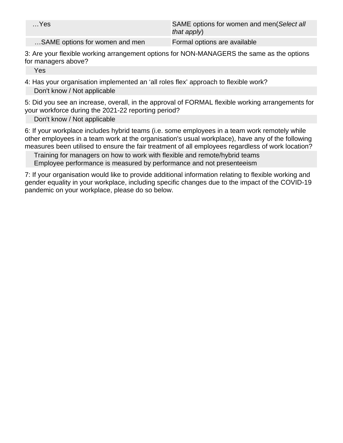| $$ Yes                         | SAME options for women and men(Select all<br>that apply) |
|--------------------------------|----------------------------------------------------------|
| SAME options for women and men | Formal options are available                             |

3: Are your flexible working arrangement options for NON-MANAGERS the same as the options for managers above?

Yes

4: Has your organisation implemented an 'all roles flex' approach to flexible work? Don't know / Not applicable

5: Did you see an increase, overall, in the approval of FORMAL flexible working arrangements for your workforce during the 2021-22 reporting period?

Don't know / Not applicable

6: If your workplace includes hybrid teams (i.e. some employees in a team work remotely while other employees in a team work at the organisation's usual workplace), have any of the following measures been utilised to ensure the fair treatment of all employees regardless of work location?

Training for managers on how to work with flexible and remote/hybrid teams Employee performance is measured by performance and not presenteeism

7: If your organisation would like to provide additional information relating to flexible working and gender equality in your workplace, including specific changes due to the impact of the COVID-19 pandemic on your workplace, please do so below.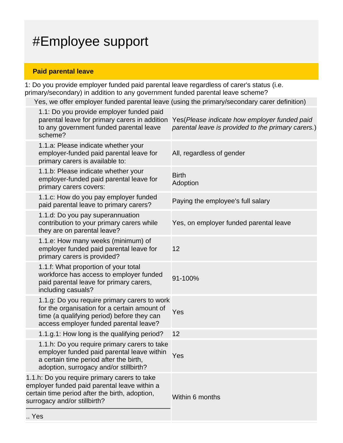# #Employee support

## **Paid parental leave**

 $\ddotsc$ 

1: Do you provide employer funded paid parental leave regardless of carer's status (i.e. primary/secondary) in addition to any government funded parental leave scheme?

Yes, we offer employer funded parental leave (using the primary/secondary carer definition)

|     | 1.1: Do you provide employer funded paid<br>parental leave for primary carers in addition<br>to any government funded parental leave<br>scheme?                                      | Yes (Please indicate how employer funded paid<br>parental leave is provided to the primary carers.) |
|-----|--------------------------------------------------------------------------------------------------------------------------------------------------------------------------------------|-----------------------------------------------------------------------------------------------------|
|     | 1.1.a: Please indicate whether your<br>employer-funded paid parental leave for<br>primary carers is available to:                                                                    | All, regardless of gender                                                                           |
|     | 1.1.b: Please indicate whether your<br>employer-funded paid parental leave for<br>primary carers covers:                                                                             | <b>Birth</b><br>Adoption                                                                            |
|     | 1.1.c: How do you pay employer funded<br>paid parental leave to primary carers?                                                                                                      | Paying the employee's full salary                                                                   |
|     | 1.1.d: Do you pay superannuation<br>contribution to your primary carers while<br>they are on parental leave?                                                                         | Yes, on employer funded parental leave                                                              |
|     | 1.1.e: How many weeks (minimum) of<br>employer funded paid parental leave for<br>primary carers is provided?                                                                         | 12                                                                                                  |
|     | 1.1.f: What proportion of your total<br>workforce has access to employer funded<br>paid parental leave for primary carers,<br>including casuals?                                     | 91-100%                                                                                             |
|     | 1.1.g: Do you require primary carers to work<br>for the organisation for a certain amount of<br>time (a qualifying period) before they can<br>access employer funded parental leave? | Yes                                                                                                 |
|     | 1.1.g.1: How long is the qualifying period?                                                                                                                                          | 12                                                                                                  |
|     | 1.1.h: Do you require primary carers to take<br>employer funded paid parental leave within<br>a certain time period after the birth,<br>adoption, surrogacy and/or stillbirth?       | Yes                                                                                                 |
|     | 1.1.h: Do you require primary carers to take<br>employer funded paid parental leave within a<br>certain time period after the birth, adoption,<br>surrogacy and/or stillbirth?       | Within 6 months                                                                                     |
| Yes |                                                                                                                                                                                      |                                                                                                     |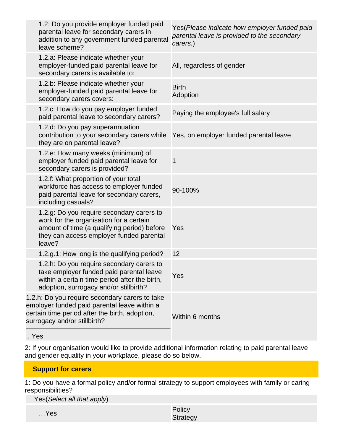| 1.2: Do you provide employer funded paid<br>parental leave for secondary carers in<br>addition to any government funded parental<br>leave scheme?                                         | Yes(Please indicate how employer funded paid<br>parental leave is provided to the secondary<br>carers.) |
|-------------------------------------------------------------------------------------------------------------------------------------------------------------------------------------------|---------------------------------------------------------------------------------------------------------|
| 1.2.a: Please indicate whether your<br>employer-funded paid parental leave for<br>secondary carers is available to:                                                                       | All, regardless of gender                                                                               |
| 1.2.b: Please indicate whether your<br>employer-funded paid parental leave for<br>secondary carers covers:                                                                                | <b>Birth</b><br>Adoption                                                                                |
| 1.2.c: How do you pay employer funded<br>paid parental leave to secondary carers?                                                                                                         | Paying the employee's full salary                                                                       |
| 1.2.d: Do you pay superannuation<br>contribution to your secondary carers while<br>they are on parental leave?                                                                            | Yes, on employer funded parental leave                                                                  |
| 1.2.e: How many weeks (minimum) of<br>employer funded paid parental leave for<br>secondary carers is provided?                                                                            | 1                                                                                                       |
| 1.2.f: What proportion of your total<br>workforce has access to employer funded<br>paid parental leave for secondary carers,<br>including casuals?                                        | 90-100%                                                                                                 |
| 1.2.g: Do you require secondary carers to<br>work for the organisation for a certain<br>amount of time (a qualifying period) before<br>they can access employer funded parental<br>leave? | Yes                                                                                                     |
| 1.2.g.1: How long is the qualifying period?                                                                                                                                               | 12                                                                                                      |
| 1.2.h: Do you require secondary carers to<br>take employer funded paid parental leave<br>within a certain time period after the birth,<br>adoption, surrogacy and/or stillbirth?          | Yes                                                                                                     |
| 1.2.h: Do you require secondary carers to take<br>employer funded paid parental leave within a<br>certain time period after the birth, adoption,<br>surrogacy and/or stillbirth?          | Within 6 months                                                                                         |
| $V_{\alpha\alpha}$                                                                                                                                                                        |                                                                                                         |

.. Yes

2: If your organisation would like to provide additional information relating to paid parental leave and gender equality in your workplace, please do so below.

## **Support for carers**

1: Do you have a formal policy and/or formal strategy to support employees with family or caring responsibilities?

Yes(Select all that apply)

| Yes | Policy   |
|-----|----------|
|     | Strategy |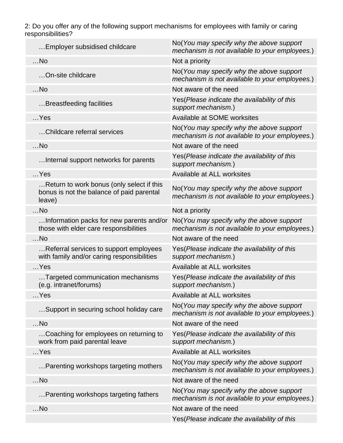2: Do you offer any of the following support mechanisms for employees with family or caring responsibilities?

| Employer subsidised childcare                                                                    | No(You may specify why the above support<br>mechanism is not available to your employees.)  |
|--------------------------------------------------------------------------------------------------|---------------------------------------------------------------------------------------------|
| $$ No                                                                                            | Not a priority                                                                              |
| On-site childcare                                                                                | No(You may specify why the above support<br>mechanism is not available to your employees.)  |
| $$ No                                                                                            | Not aware of the need                                                                       |
| Breastfeeding facilities                                                                         | Yes (Please indicate the availability of this<br>support mechanism.)                        |
| $$ Yes                                                                                           | Available at SOME worksites                                                                 |
| Childcare referral services                                                                      | No(You may specify why the above support<br>mechanism is not available to your employees.)  |
| $$ No                                                                                            | Not aware of the need                                                                       |
| Internal support networks for parents                                                            | Yes(Please indicate the availability of this<br>support mechanism.)                         |
| $$ Yes                                                                                           | Available at ALL worksites                                                                  |
| Return to work bonus (only select if this<br>bonus is not the balance of paid parental<br>leave) | No(You may specify why the above support<br>mechanism is not available to your employees.)  |
| $$ No                                                                                            | Not a priority                                                                              |
| Information packs for new parents and/or<br>those with elder care responsibilities               | No(You may specify why the above support<br>mechanism is not available to your employees.)  |
| $$ No                                                                                            | Not aware of the need                                                                       |
| Referral services to support employees<br>with family and/or caring responsibilities             | Yes (Please indicate the availability of this<br>support mechanism.)                        |
| $$ Yes                                                                                           | Available at ALL worksites                                                                  |
| Targeted communication mechanisms<br>(e.g. intranet/forums)                                      | Yes(Please indicate the availability of this<br>support mechanism.)                         |
| Yes                                                                                              | Available at ALL worksites                                                                  |
| Support in securing school holiday care                                                          | No(You may specify why the above support<br>mechanism is not available to your employees.)  |
| $$ No                                                                                            | Not aware of the need                                                                       |
| Coaching for employees on returning to<br>work from paid parental leave                          | Yes (Please indicate the availability of this<br>support mechanism.)                        |
| $$ Yes                                                                                           | Available at ALL worksites                                                                  |
| Parenting workshops targeting mothers                                                            | No(You may specify why the above support<br>mechanism is not available to your employees.)  |
| $$ No                                                                                            | Not aware of the need                                                                       |
| Parenting workshops targeting fathers                                                            | No (You may specify why the above support<br>mechanism is not available to your employees.) |
| $$ No                                                                                            | Not aware of the need                                                                       |
|                                                                                                  | Yes(Please indicate the availability of this                                                |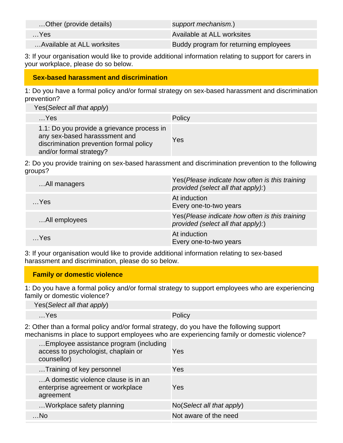| Other (provide details)    | support mechanism.)                   |
|----------------------------|---------------------------------------|
| $$ Yes                     | Available at ALL worksites            |
| Available at ALL worksites | Buddy program for returning employees |

3: If your organisation would like to provide additional information relating to support for carers in your workplace, please do so below.

### **Sex-based harassment and discrimination**

1: Do you have a formal policy and/or formal strategy on sex-based harassment and discrimination prevention?

| Yes(Select all that apply) |  |
|----------------------------|--|
|                            |  |

| $$ Yes                                                                                                                                            | Policy |
|---------------------------------------------------------------------------------------------------------------------------------------------------|--------|
| 1.1: Do you provide a grievance process in<br>any sex-based harasssment and<br>discrimination prevention formal policy<br>and/or formal strategy? | Yes    |

2: Do you provide training on sex-based harassment and discrimination prevention to the following groups?

| All managers  | Yes (Please indicate how often is this training<br>provided (select all that apply):) |
|---------------|---------------------------------------------------------------------------------------|
| $$ Yes        | At induction<br>Every one-to-two years                                                |
| All employees | Yes (Please indicate how often is this training<br>provided (select all that apply):) |
| $$ Yes        | At induction<br>Every one-to-two years                                                |

3: If your organisation would like to provide additional information relating to sex-based harassment and discrimination, please do so below.

### **Family or domestic violence**

1: Do you have a formal policy and/or formal strategy to support employees who are experiencing family or domestic violence?

| Yes(Select all that apply) |  |
|----------------------------|--|
|----------------------------|--|

…Yes Policy

2: Other than a formal policy and/or formal strategy, do you have the following support mechanisms in place to support employees who are experiencing family or domestic violence?

| Yes                                  |
|--------------------------------------|
| Yes                                  |
| Yes                                  |
| $No(Select \textit{all} that apply)$ |
| Not aware of the need                |
|                                      |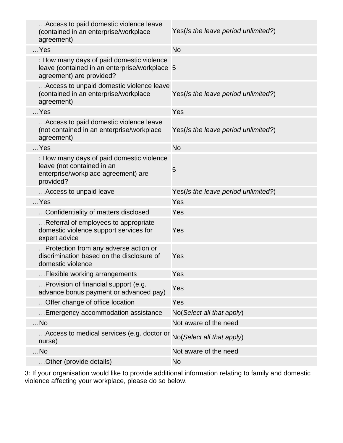| Access to paid domestic violence leave<br>(contained in an enterprise/workplace<br>agreement)                               | Yes(Is the leave period unlimited?) |
|-----------------------------------------------------------------------------------------------------------------------------|-------------------------------------|
| $$ Yes                                                                                                                      | <b>No</b>                           |
| : How many days of paid domestic violence<br>leave (contained in an enterprise/workplace 5<br>agreement) are provided?      |                                     |
| Access to unpaid domestic violence leave<br>(contained in an enterprise/workplace<br>agreement)                             | Yes(Is the leave period unlimited?) |
| $$ Yes                                                                                                                      | Yes                                 |
| Access to paid domestic violence leave<br>(not contained in an enterprise/workplace<br>agreement)                           | Yes(Is the leave period unlimited?) |
| $$ Yes                                                                                                                      | <b>No</b>                           |
| : How many days of paid domestic violence<br>leave (not contained in an<br>enterprise/workplace agreement) are<br>provided? | 5                                   |
| Access to unpaid leave                                                                                                      | Yes(Is the leave period unlimited?) |
| $$ Yes                                                                                                                      | Yes                                 |
| Confidentiality of matters disclosed                                                                                        | Yes                                 |
| Referral of employees to appropriate<br>domestic violence support services for<br>expert advice                             | Yes                                 |
| Protection from any adverse action or<br>discrimination based on the disclosure of<br>domestic violence                     | Yes                                 |
| Flexible working arrangements                                                                                               | Yes                                 |
| Provision of financial support (e.g.<br>advance bonus payment or advanced pay)                                              | Yes                                 |
| Offer change of office location                                                                                             | Yes                                 |
| Emergency accommodation assistance                                                                                          | No(Select all that apply)           |
| $$ No                                                                                                                       | Not aware of the need               |
| Access to medical services (e.g. doctor or<br>nurse)                                                                        | No(Select all that apply)           |
| $$ No                                                                                                                       | Not aware of the need               |
| Other (provide details)                                                                                                     | <b>No</b>                           |

3: If your organisation would like to provide additional information relating to family and domestic violence affecting your workplace, please do so below.